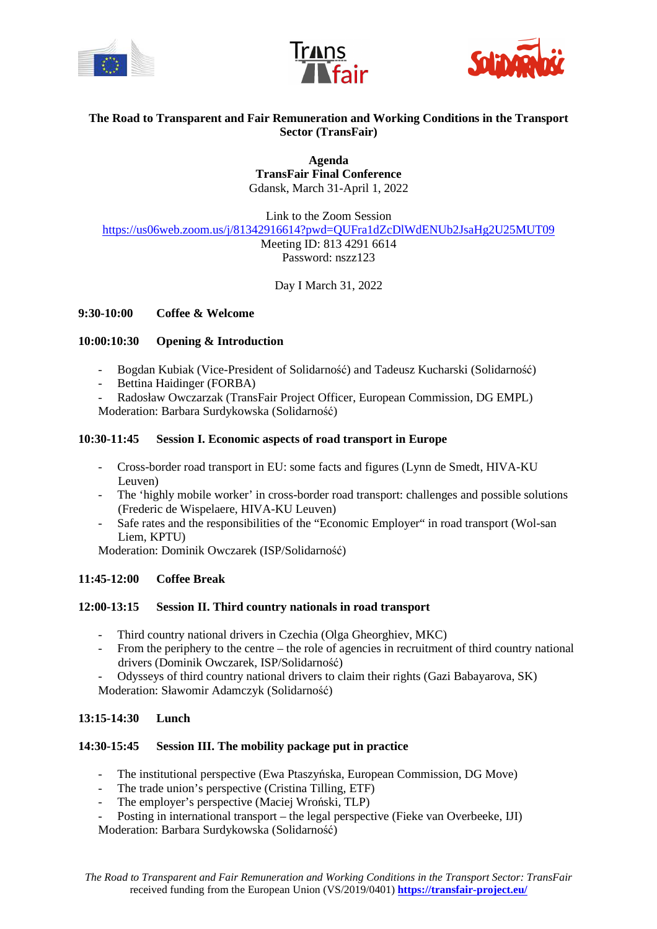





# **The Road to Transparent and Fair Remuneration and Working Conditions in the Transport Sector (TransFair)**

**Agenda TransFair Final Conference**  Gdansk, March 31-April 1, 2022

Link to the Zoom Session https://us06web.zoom.us/j/81342916614?pwd=QUFra1dZcDlWdENUb2JsaHg2U25MUT09 Meeting ID: 813 4291 6614 Password: nszz123

Day I March 31, 2022

### **9:30-10:00 Coffee & Welcome**

### **10:00:10:30 Opening & Introduction**

- Bogdan Kubiak (Vice-President of Solidarność) and Tadeusz Kucharski (Solidarność)
- Bettina Haidinger (FORBA)
- Radosław Owczarzak (TransFair Project Officer, European Commission, DG EMPL)

Moderation: Barbara Surdykowska (Solidarność)

### **10:30-11:45 Session I. Economic aspects of road transport in Europe**

- Cross-border road transport in EU: some facts and figures (Lynn de Smedt, HIVA-KU Leuven)
- The 'highly mobile worker' in cross-border road transport: challenges and possible solutions (Frederic de Wispelaere, HIVA-KU Leuven)
- Safe rates and the responsibilities of the "Economic Employer" in road transport (Wol-san Liem, KPTU)

Moderation: Dominik Owczarek (ISP/Solidarność)

## **11:45-12:00 Coffee Break**

### **12:00-13:15 Session II. Third country nationals in road transport**

- Third country national drivers in Czechia (Olga Gheorghiev, MKC)
- From the periphery to the centre the role of agencies in recruitment of third country national drivers (Dominik Owczarek, ISP/Solidarność)
- Odysseys of third country national drivers to claim their rights (Gazi Babayarova, SK)

Moderation: Sławomir Adamczyk (Solidarność)

### **13:15-14:30 Lunch**

### **14:30-15:45 Session III. The mobility package put in practice**

- The institutional perspective (Ewa Ptaszyńska, European Commission, DG Move)
- The trade union's perspective (Cristina Tilling, ETF)
- The employer's perspective (Maciej Wroński, TLP)
- Posting in international transport the legal perspective (Fieke van Overbeeke, IJI)

Moderation: Barbara Surdykowska (Solidarność)